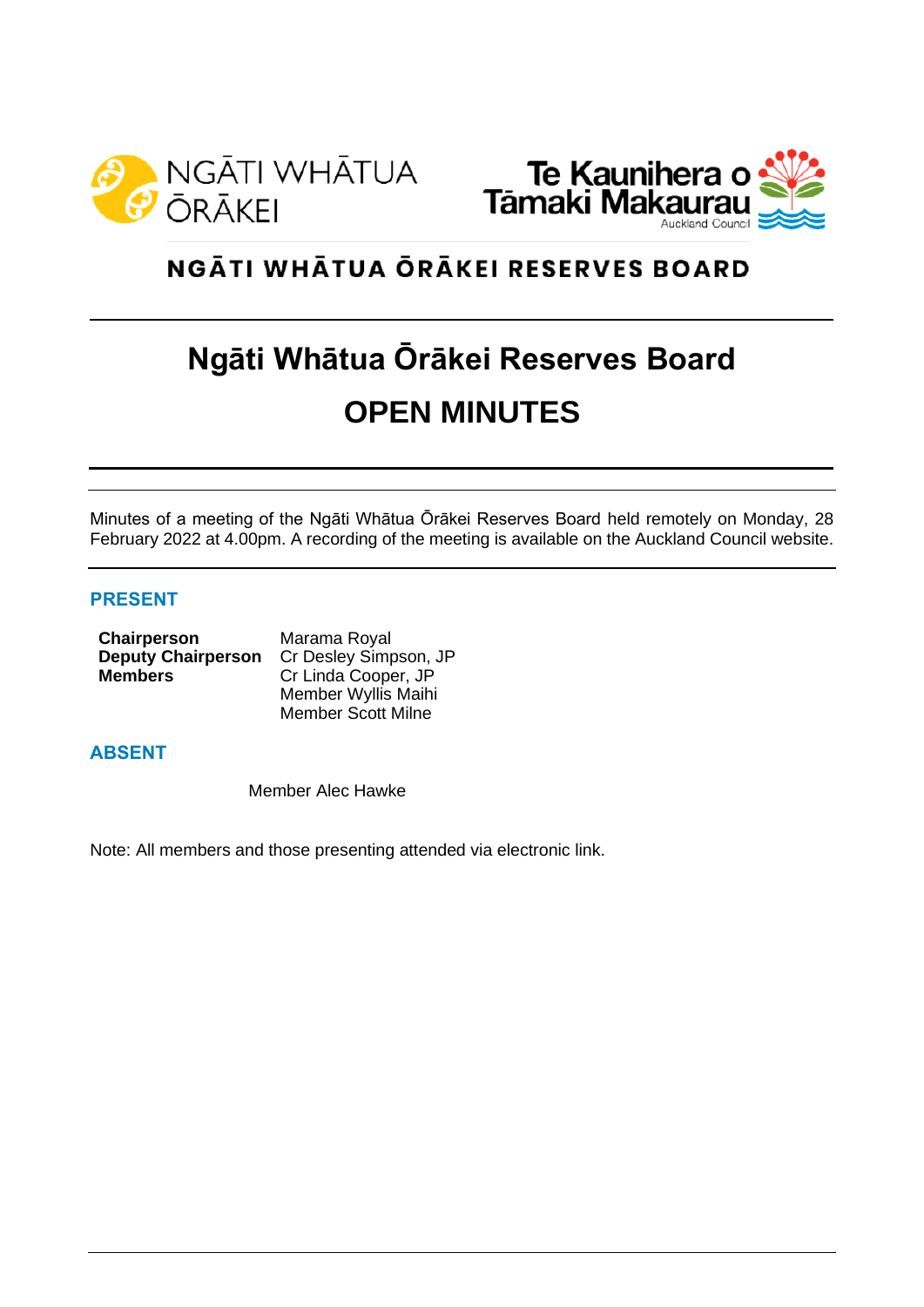



# NGĀTI WHĀTUA ŌRĀKEI RESERVES BOARD

# **Ngāti Whātua Ōrākei Reserves Board OPEN MINUTES**

Minutes of a meeting of the Ngāti Whātua Ōrākei Reserves Board held remotely on Monday, 28 February 2022 at 4.00pm. A recording of the meeting is available on the Auckland Council website.

## **PRESENT**

| Chairperson               | Marama Royal              |
|---------------------------|---------------------------|
| <b>Deputy Chairperson</b> | Cr Desley Simpson, JP     |
| <b>Members</b>            | Cr Linda Cooper, JP       |
|                           | Member Wyllis Maihi       |
|                           | <b>Member Scott Milne</b> |

## **ABSENT**

Member Alec Hawke

Note: All members and those presenting attended via electronic link.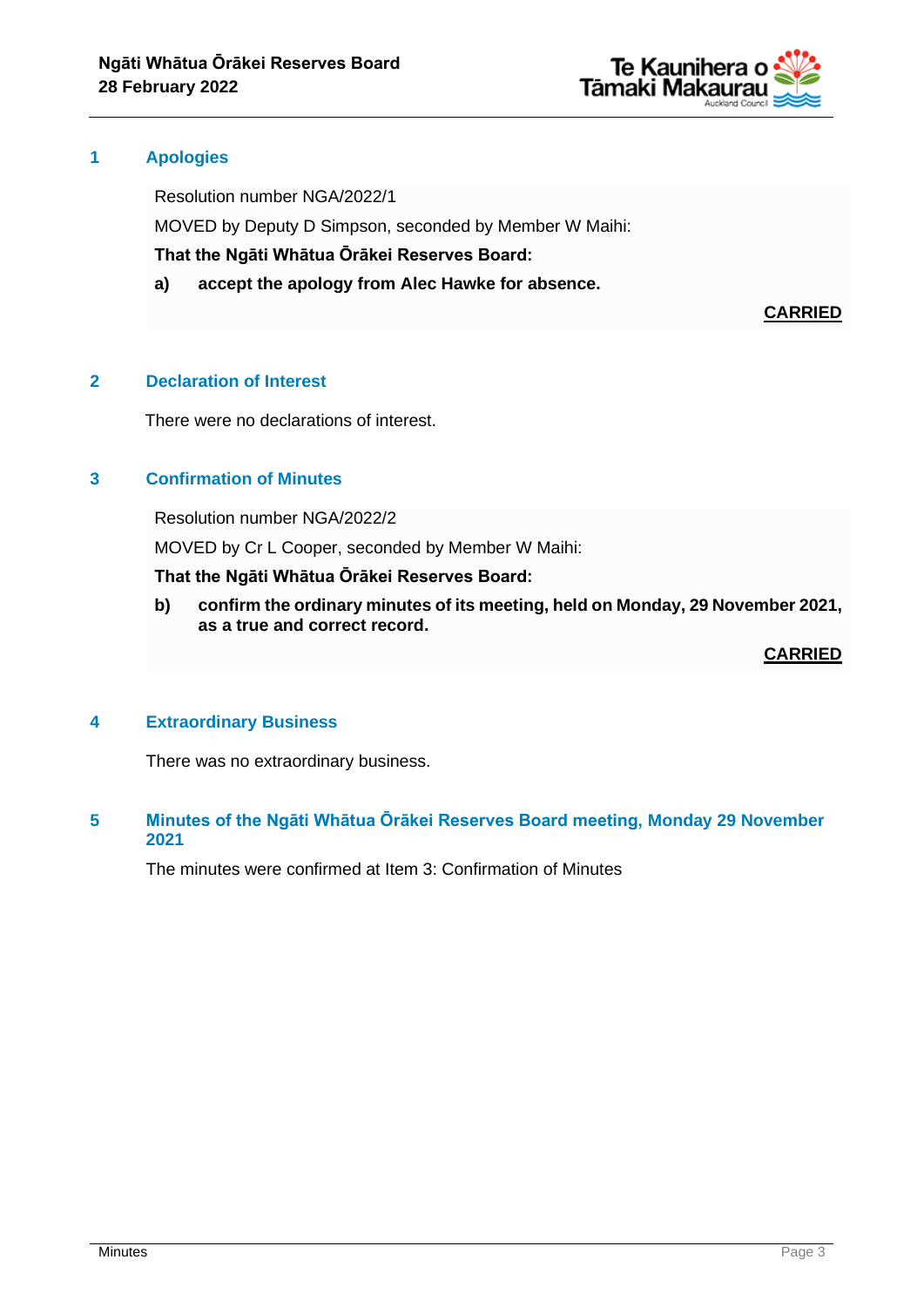

#### **1 Apologies**

Resolution number NGA/2022/1

MOVED by Deputy D Simpson, seconded by Member W Maihi:

**That the Ngāti Whātua Ōrākei Reserves Board:**

**a) accept the apology from Alec Hawke for absence.**

**CARRIED**

## **2 Declaration of Interest**

There were no declarations of interest.

#### **3 Confirmation of Minutes**

Resolution number NGA/2022/2

MOVED by Cr L Cooper, seconded by Member W Maihi:

#### **That the Ngāti Whātua Ōrākei Reserves Board:**

**b) confirm the ordinary minutes of its meeting, held on Monday, 29 November 2021, as a true and correct record.**

**CARRIED**

## **4 Extraordinary Business**

There was no extraordinary business.

## **5 Minutes of the Ngāti Whātua Ōrākei Reserves Board meeting, Monday 29 November 2021**

The minutes were confirmed at Item 3: Confirmation of Minutes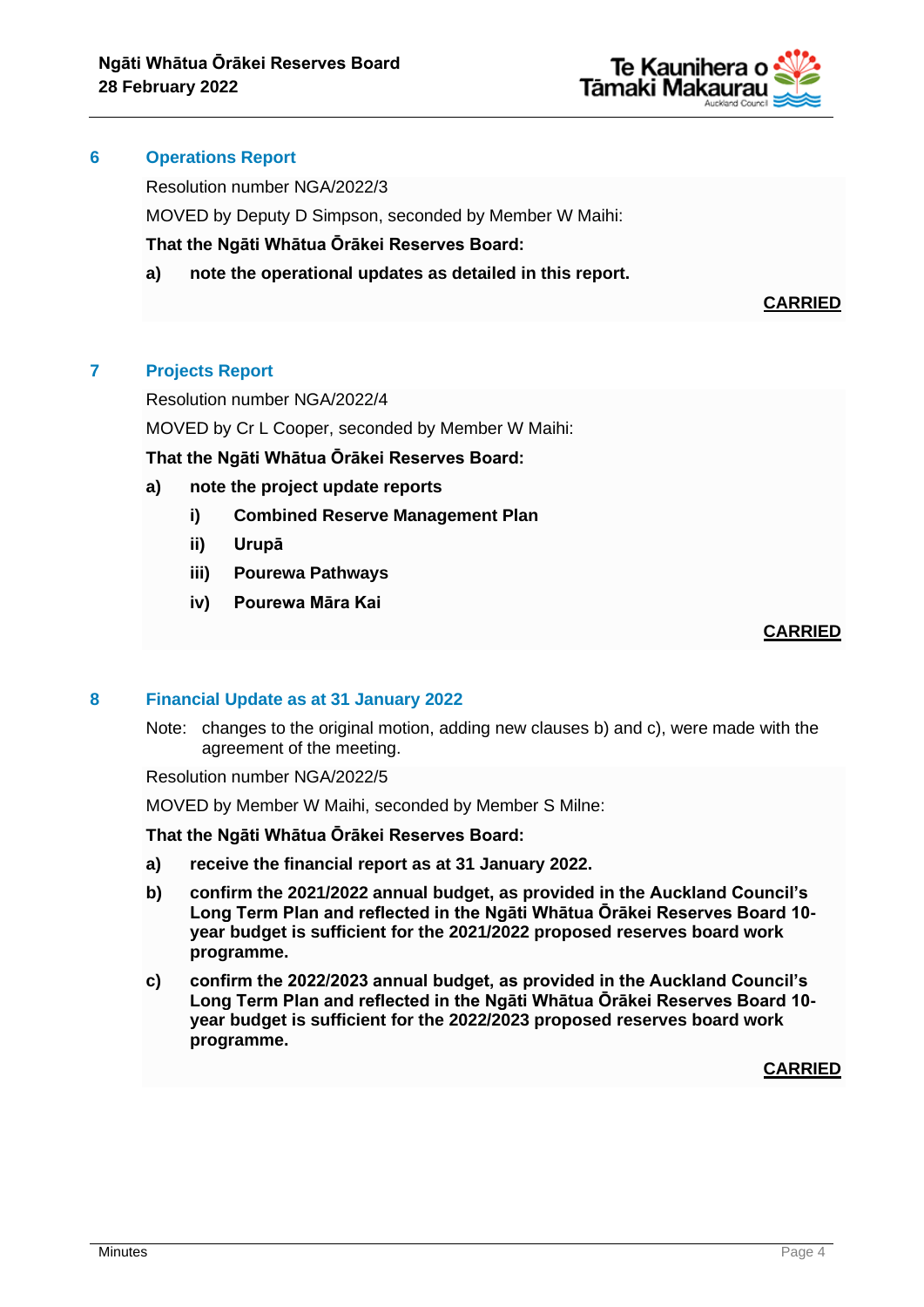

#### **6 Operations Report**

Resolution number NGA/2022/3

MOVED by Deputy D Simpson, seconded by Member W Maihi:

**That the Ngāti Whātua Ōrākei Reserves Board:**

**a) note the operational updates as detailed in this report.**

**CARRIED**

# **7 Projects Report**

Resolution number NGA/2022/4

MOVED by Cr L Cooper, seconded by Member W Maihi:

**That the Ngāti Whātua Ōrākei Reserves Board:**

- **a) note the project update reports**
	- **i) Combined Reserve Management Plan**
	- **ii) Urupā**
	- **iii) Pourewa Pathways**
	- **iv) Pourewa Māra Kai**

## **CARRIED**

## **8 Financial Update as at 31 January 2022**

Note: changes to the original motion, adding new clauses b) and c), were made with the agreement of the meeting.

Resolution number NGA/2022/5

MOVED by Member W Maihi, seconded by Member S Milne:

#### **That the Ngāti Whātua Ōrākei Reserves Board:**

- **a) receive the financial report as at 31 January 2022.**
- **b) confirm the 2021/2022 annual budget, as provided in the Auckland Council's Long Term Plan and reflected in the Ngāti Whātua Ōrākei Reserves Board 10 year budget is sufficient for the 2021/2022 proposed reserves board work programme.**
- **c) confirm the 2022/2023 annual budget, as provided in the Auckland Council's Long Term Plan and reflected in the Ngāti Whātua Ōrākei Reserves Board 10 year budget is sufficient for the 2022/2023 proposed reserves board work programme.**

**CARRIED**